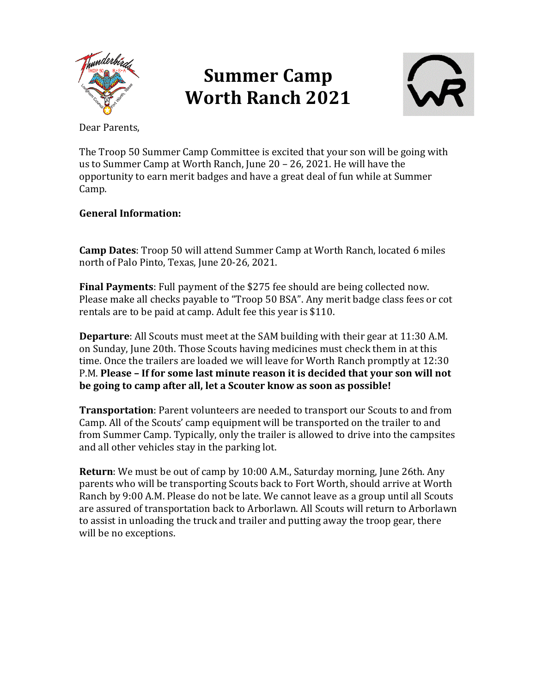

## **Summer Camp Worth Ranch 2021**



Dear Parents.

The Troop 50 Summer Camp Committee is excited that your son will be going with us to Summer Camp at Worth Ranch, June  $20 - 26$ , 2021. He will have the opportunity to earn merit badges and have a great deal of fun while at Summer Camp. 

## **General Information:**

**Camp Dates:** Troop 50 will attend Summer Camp at Worth Ranch, located 6 miles north of Palo Pinto, Texas, June 20-26, 2021.

**Final Payments**: Full payment of the \$275 fee should are being collected now. Please make all checks payable to "Troop 50 BSA". Any merit badge class fees or cot rentals are to be paid at camp. Adult fee this year is \$110.

**Departure**: All Scouts must meet at the SAM building with their gear at 11:30 A.M. on Sunday, June 20th. Those Scouts having medicines must check them in at this time. Once the trailers are loaded we will leave for Worth Ranch promptly at 12:30 P.M. Please – If for some last minute reason it is decided that your son will not **be going to camp after all, let a Scouter know as soon as possible!** 

**Transportation**: Parent volunteers are needed to transport our Scouts to and from Camp. All of the Scouts' camp equipment will be transported on the trailer to and from Summer Camp. Typically, only the trailer is allowed to drive into the campsites and all other vehicles stay in the parking lot.

**Return**: We must be out of camp by 10:00 A.M., Saturday morning, June 26th. Any parents who will be transporting Scouts back to Fort Worth, should arrive at Worth Ranch by 9:00 A.M. Please do not be late. We cannot leave as a group until all Scouts are assured of transportation back to Arborlawn. All Scouts will return to Arborlawn to assist in unloading the truck and trailer and putting away the troop gear, there will be no exceptions.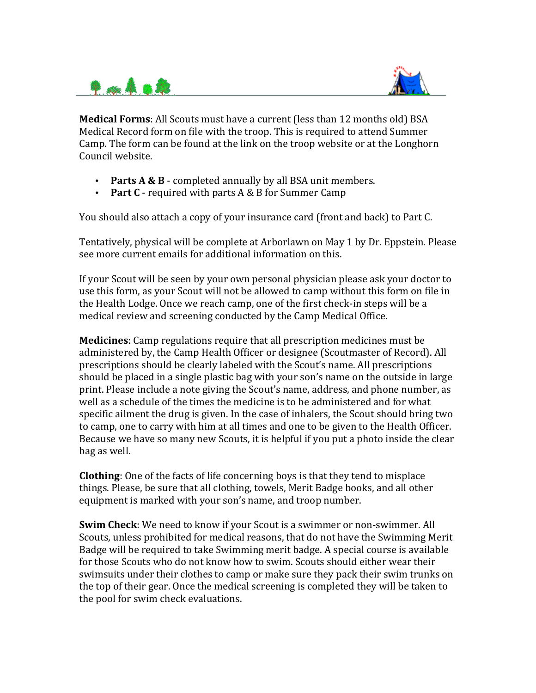



**Medical Forms**: All Scouts must have a current (less than 12 months old) BSA Medical Record form on file with the troop. This is required to attend Summer Camp. The form can be found at the link on the troop website or at the Longhorn Council website.

- **Parts A & B** completed annually by all BSA unit members.
- Part C required with parts A & B for Summer Camp

You should also attach a copy of your insurance card (front and back) to Part C.

Tentatively, physical will be complete at Arborlawn on May 1 by Dr. Eppstein. Please see more current emails for additional information on this.

If your Scout will be seen by your own personal physician please ask your doctor to use this form, as your Scout will not be allowed to camp without this form on file in the Health Lodge. Once we reach camp, one of the first check-in steps will be a medical review and screening conducted by the Camp Medical Office.

**Medicines**: Camp regulations require that all prescription medicines must be administered by, the Camp Health Officer or designee (Scoutmaster of Record). All prescriptions should be clearly labeled with the Scout's name. All prescriptions should be placed in a single plastic bag with your son's name on the outside in large print. Please include a note giving the Scout's name, address, and phone number, as well as a schedule of the times the medicine is to be administered and for what specific ailment the drug is given. In the case of inhalers, the Scout should bring two to camp, one to carry with him at all times and one to be given to the Health Officer. Because we have so many new Scouts, it is helpful if you put a photo inside the clear bag as well.

**Clothing**: One of the facts of life concerning boys is that they tend to misplace things. Please, be sure that all clothing, towels, Merit Badge books, and all other equipment is marked with your son's name, and troop number.

**Swim Check**: We need to know if your Scout is a swimmer or non-swimmer. All Scouts, unless prohibited for medical reasons, that do not have the Swimming Merit Badge will be required to take Swimming merit badge. A special course is available for those Scouts who do not know how to swim. Scouts should either wear their swimsuits under their clothes to camp or make sure they pack their swim trunks on the top of their gear. Once the medical screening is completed they will be taken to the pool for swim check evaluations.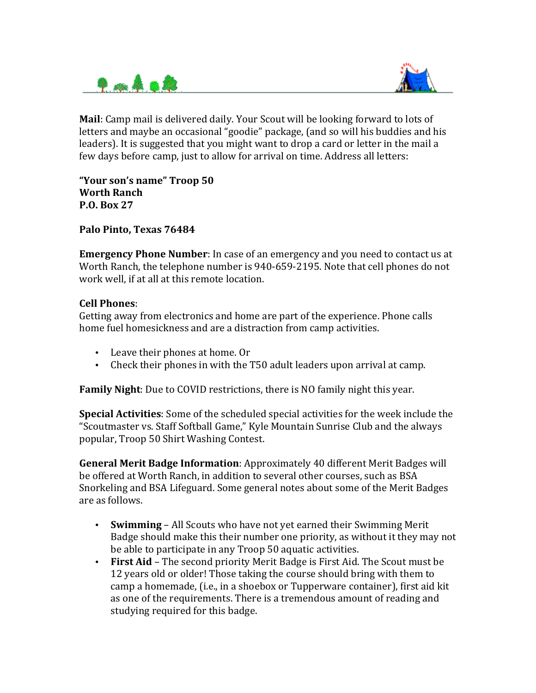



**Mail**: Camp mail is delivered daily. Your Scout will be looking forward to lots of letters and maybe an occasional "goodie" package, (and so will his buddies and his leaders). It is suggested that you might want to drop a card or letter in the mail a few days before camp, just to allow for arrival on time. Address all letters:

**"Your son's name" Troop 50 Worth Ranch P.O. Box 27** 

Palo Pinto, Texas 76484

**Emergency Phone Number:** In case of an emergency and you need to contact us at Worth Ranch, the telephone number is 940-659-2195. Note that cell phones do not work well, if at all at this remote location.

## **Cell Phones**:

Getting away from electronics and home are part of the experience. Phone calls home fuel homesickness and are a distraction from camp activities.

- Leave their phones at home. Or
- Check their phones in with the T50 adult leaders upon arrival at camp.

**Family Night**: Due to COVID restrictions, there is NO family night this year.

**Special Activities**: Some of the scheduled special activities for the week include the "Scoutmaster vs. Staff Softball Game," Kyle Mountain Sunrise Club and the always popular, Troop 50 Shirt Washing Contest.

**General Merit Badge Information**: Approximately 40 different Merit Badges will be offered at Worth Ranch, in addition to several other courses, such as BSA Snorkeling and BSA Lifeguard. Some general notes about some of the Merit Badges are as follows.

- **Swimming** All Scouts who have not yet earned their Swimming Merit Badge should make this their number one priority, as without it they may not be able to participate in any Troop 50 aquatic activities.
- **First Aid** The second priority Merit Badge is First Aid. The Scout must be 12 years old or older! Those taking the course should bring with them to camp a homemade, (i.e., in a shoebox or Tupperware container), first aid kit as one of the requirements. There is a tremendous amount of reading and studying required for this badge.